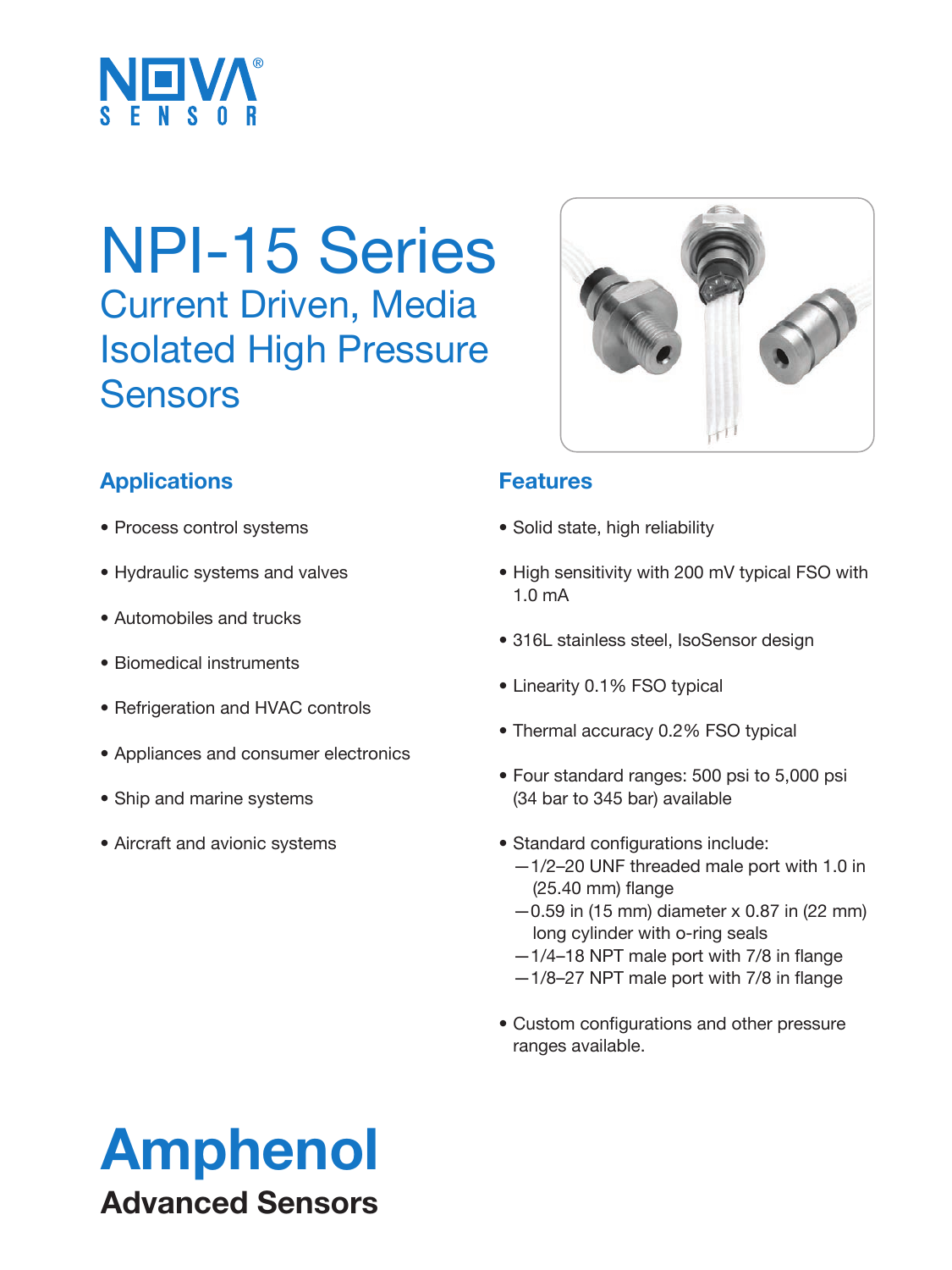

# NPI-15 Series Current Driven, Media Isolated High Pressure **Sensors**



## **Applications**

- Process control systems
- Hydraulic systems and valves
- Automobiles and trucks
- Biomedical instruments
- Refrigeration and HVAC controls
- Appliances and consumer electronics
- Ship and marine systems
- Aircraft and avionic systems

### **Features**

- Solid state, high reliability
- High sensitivity with 200 mV typical FSO with 1.0 mA
- 316L stainless steel, IsoSensor design
- Linearity 0.1% FSO typical
- Thermal accuracy 0.2% FSO typical
- Four standard ranges: 500 psi to 5,000 psi (34 bar to 345 bar) available
- Standard configurations include: —1/2–20 UNF threaded male port with 1.0 in (25.40 mm) flange
	- $-0.59$  in (15 mm) diameter x 0.87 in (22 mm) long cylinder with o-ring seals
	- —1/4–18 NPT male port with 7/8 in flange
	- —1/8–27 NPT male port with 7/8 in flange
- Custom configurations and other pressure ranges available.

# Amphenol Advanced Sensors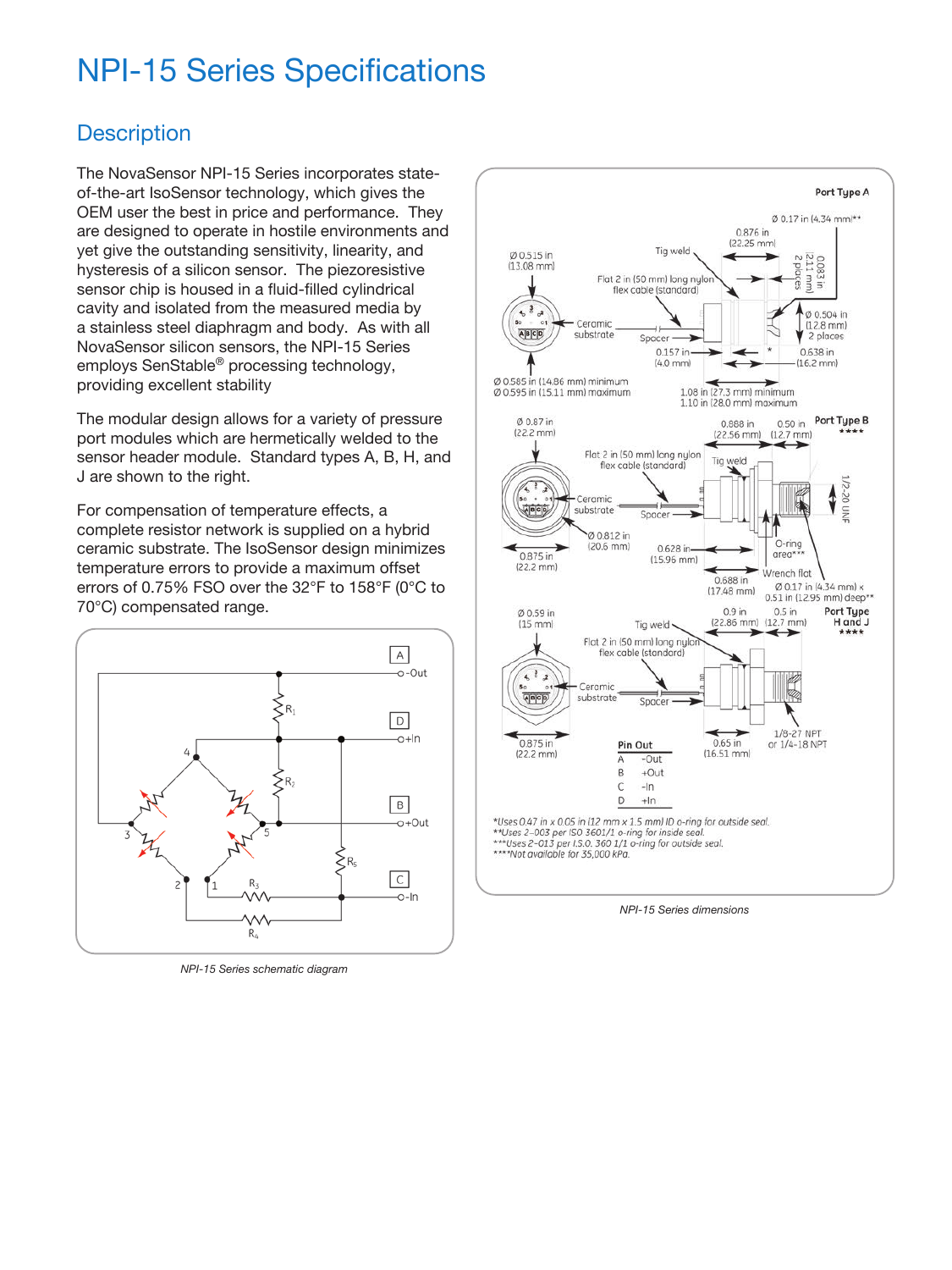# NPI-15 Series Specifications

### **Description**

The NovaSensor NPI-15 Series incorporates stateof-the-art IsoSensor technology, which gives the OEM user the best in price and performance. They are designed to operate in hostile environments and yet give the outstanding sensitivity, linearity, and hysteresis of a silicon sensor. The piezoresistive sensor chip is housed in a fluid-filled cylindrical cavity and isolated from the measured media by a stainless steel diaphragm and body. As with all NovaSensor silicon sensors, the NPI-15 Series employs SenStable® processing technology, providing excellent stability

The modular design allows for a variety of pressure port modules which are hermetically welded to the sensor header module. Standard types A, B, H, and J are shown to the right.

For compensation of temperature effects, a complete resistor network is supplied on a hybrid ceramic substrate. The IsoSensor design minimizes temperature errors to provide a maximum offset errors of 0.75% FSO over the 32°F to 158°F (0°C to 70°C) compensated range.



*NPI-15 Series schematic diagram*



*NPI-15 Series dimensions*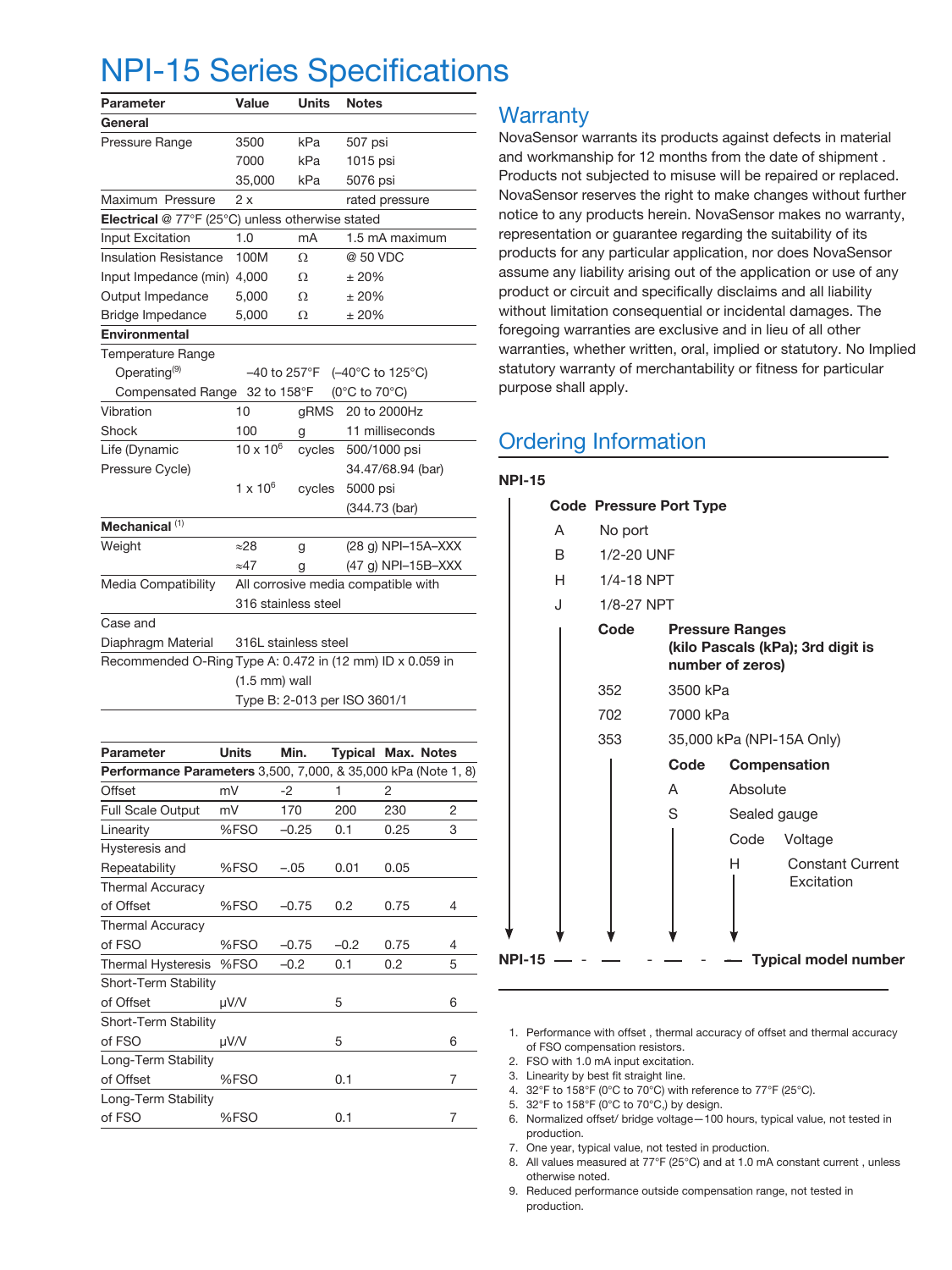## NPI-15 Series Specifications

| Parameter                                                 | Value                                                                      | <b>Units</b> | <b>Notes</b>       |  |  |
|-----------------------------------------------------------|----------------------------------------------------------------------------|--------------|--------------------|--|--|
| General                                                   |                                                                            |              |                    |  |  |
| Pressure Range                                            | 3500                                                                       | kPa          | 507 psi            |  |  |
|                                                           | 7000                                                                       | kPa          | 1015 psi           |  |  |
|                                                           | 35,000                                                                     | kPa          | 5076 psi           |  |  |
| Maximum Pressure                                          | 2 x                                                                        |              | rated pressure     |  |  |
| Electrical @ 77°F (25°C) unless otherwise stated          |                                                                            |              |                    |  |  |
| Input Excitation                                          | 1.0                                                                        | mA           | 1.5 mA maximum     |  |  |
| <b>Insulation Resistance</b>                              | 100M                                                                       | $\Omega$     | @ 50 VDC           |  |  |
| Input Impedance (min)                                     | 4,000                                                                      | Ω            | ±20%               |  |  |
| Output Impedance                                          | 5,000                                                                      | Ω            | ± 20%              |  |  |
| Bridge Impedance                                          | 5,000                                                                      | Ω            | ±20%               |  |  |
| Environmental                                             |                                                                            |              |                    |  |  |
| Temperature Range                                         |                                                                            |              |                    |  |  |
| Operating <sup>(9)</sup>                                  | $-40$ to 257 $\mathrm{^{\circ}F}$<br>$(-40^{\circ}$ C to 125 $^{\circ}$ C) |              |                    |  |  |
| <b>Compensated Range</b>                                  | 32 to 158°F                                                                |              | (0°C to 70°C)      |  |  |
| Vibration                                                 | 10                                                                         | gRMS         | 20 to 2000Hz       |  |  |
| Shock                                                     | 100                                                                        | g            | 11 milliseconds    |  |  |
| Life (Dynamic                                             | $10 \times 10^{6}$                                                         | cycles       | 500/1000 psi       |  |  |
| Pressure Cycle)                                           |                                                                            |              | 34.47/68.94 (bar)  |  |  |
|                                                           | 1 x $10^6$                                                                 | cycles       | 5000 psi           |  |  |
|                                                           |                                                                            |              | (344.73 (bar)      |  |  |
| Mechanical <sup>(1)</sup>                                 |                                                                            |              |                    |  |  |
| Weight                                                    | ≈28                                                                        | g            | (28 g) NPI-15A-XXX |  |  |
|                                                           | $\approx 47$                                                               | g            | (47 g) NPI-15B-XXX |  |  |
| Media Compatibility                                       | All corrosive media compatible with                                        |              |                    |  |  |
|                                                           | 316 stainless steel                                                        |              |                    |  |  |
| Case and                                                  |                                                                            |              |                    |  |  |
| Diaphragm Material                                        | 316L stainless steel                                                       |              |                    |  |  |
| Recommended O-Ring Type A: 0.472 in (12 mm) ID x 0.059 in |                                                                            |              |                    |  |  |
|                                                           | $(1.5$ mm) wall                                                            |              |                    |  |  |
|                                                           | Type B: 2-013 per ISO 3601/1                                               |              |                    |  |  |

| Parameter                                                            | <b>Units</b> | Min.    | <b>Typical Max. Notes</b> |      |   |  |  |  |
|----------------------------------------------------------------------|--------------|---------|---------------------------|------|---|--|--|--|
| <b>Performance Parameters</b> 3,500, 7,000, & 35,000 kPa (Note 1, 8) |              |         |                           |      |   |  |  |  |
| Offset                                                               | mV           | $-2$    | 1                         | 2    |   |  |  |  |
| Full Scale Output                                                    | mV           | 170     | 200                       | 230  | 2 |  |  |  |
| Linearity                                                            | %FSO         | $-0.25$ | 0.1                       | 0.25 | 3 |  |  |  |
| Hysteresis and                                                       |              |         |                           |      |   |  |  |  |
| Repeatability                                                        | %FSO         | $-.05$  | 0.01                      | 0.05 |   |  |  |  |
| <b>Thermal Accuracy</b>                                              |              |         |                           |      |   |  |  |  |
| of Offset                                                            | %FSO         | $-0.75$ | 0.2                       | 0.75 | 4 |  |  |  |
| <b>Thermal Accuracy</b>                                              |              |         |                           |      |   |  |  |  |
| of FSO                                                               | %FSO         | $-0.75$ | $-0.2$                    | 0.75 | 4 |  |  |  |
| <b>Thermal Hysteresis</b>                                            | %FSO         | $-0.2$  | 0.1                       | 0.2  | 5 |  |  |  |
| Short-Term Stability                                                 |              |         |                           |      |   |  |  |  |
| of Offset                                                            | µV/V         |         | 5                         |      | 6 |  |  |  |
| Short-Term Stability                                                 |              |         |                           |      |   |  |  |  |
| of FSO                                                               | µV/V         |         | 5                         |      | 6 |  |  |  |
| Long-Term Stability                                                  |              |         |                           |      |   |  |  |  |
| of Offset                                                            | %FSO         |         | 0.1                       |      | 7 |  |  |  |
| Long-Term Stability                                                  |              |         |                           |      |   |  |  |  |
| of FSO                                                               | %FSO         |         | 0.1                       |      | 7 |  |  |  |

### **Warranty**

NovaSensor warrants its products against defects in material and workmanship for 12 months from the date of shipment . Products not subjected to misuse will be repaired or replaced. NovaSensor reserves the right to make changes without further notice to any products herein. NovaSensor makes no warranty, representation or guarantee regarding the suitability of its products for any particular application, nor does NovaSensor assume any liability arising out of the application or use of any product or circuit and specifically disclaims and all liability without limitation consequential or incidental damages. The foregoing warranties are exclusive and in lieu of all other warranties, whether written, oral, implied or statutory. No Implied statutory warranty of merchantability or fitness for particular purpose shall apply.

### Ordering Information

#### **NPI-15**

| A      | No port    |      |                           |                                                                                                                                           |  |  |
|--------|------------|------|---------------------------|-------------------------------------------------------------------------------------------------------------------------------------------|--|--|
| B.     | 1/2-20 UNF |      |                           |                                                                                                                                           |  |  |
| H.     | 1/4-18 NPT |      |                           |                                                                                                                                           |  |  |
| J.     |            |      |                           |                                                                                                                                           |  |  |
|        | Code       |      |                           |                                                                                                                                           |  |  |
|        | 352        |      |                           |                                                                                                                                           |  |  |
|        | 702        |      |                           |                                                                                                                                           |  |  |
|        | 353        |      | 35,000 kPa (NPI-15A Only) |                                                                                                                                           |  |  |
|        |            | Code |                           | Compensation                                                                                                                              |  |  |
|        |            | A    | Absolute                  |                                                                                                                                           |  |  |
|        |            | S    | Sealed gauge              |                                                                                                                                           |  |  |
|        |            |      | Code                      | Voltage                                                                                                                                   |  |  |
|        |            |      | н                         | <b>Constant Current</b><br>Excitation                                                                                                     |  |  |
| NPI-15 |            |      |                           | <b>Typical model number</b>                                                                                                               |  |  |
|        |            |      | 1/8-27 NPT                | <b>Code Pressure Port Type</b><br><b>Pressure Ranges</b><br>(kilo Pascals (kPa); 3rd digit is<br>number of zeros)<br>3500 kPa<br>7000 kPa |  |  |

1. Performance with offset , thermal accuracy of offset and thermal accuracy of FSO compensation resistors.

2. FSO with 1.0 mA input excitation.

3. Linearity by best fit straight line.

- 4. 32°F to 158°F (0°C to 70°C) with reference to 77°F (25°C).
- 5. 32°F to 158°F (0°C to 70°C,) by design.
- 6. Normalized offset/ bridge voltage—100 hours, typical value, not tested in production.
- 7. One year, typical value, not tested in production.
- 8. All values measured at 77°F (25°C) and at 1.0 mA constant current , unless otherwise noted.
- 9. Reduced performance outside compensation range, not tested in production.